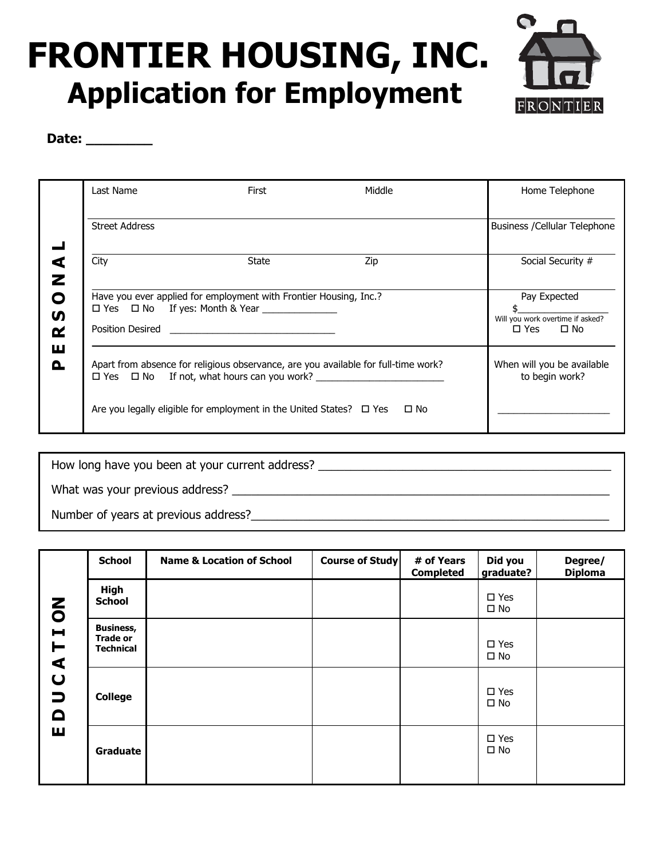## .<br>. י FRONTIER HOUSING, INC. Application for Employment



Date: \_\_\_\_\_\_\_\_\_\_

|                             | Last Name                                                                          | First                                                                              | Middle | Home Telephone                |
|-----------------------------|------------------------------------------------------------------------------------|------------------------------------------------------------------------------------|--------|-------------------------------|
|                             | <b>Street Address</b>                                                              |                                                                                    |        | Business / Cellular Telephone |
| $\blacktriangleleft$        | City                                                                               | <b>State</b>                                                                       | Zip    | Social Security #             |
| Z<br>O<br>ഗ<br>≃<br>ш<br>O. | Have you ever applied for employment with Frontier Housing, Inc.?                  | Pay Expected<br>Will you work overtime if asked?<br>$\Box$ Yes $\Box$ No           |        |                               |
|                             | Apart from absence for religious observance, are you available for full-time work? | When will you be available<br>to begin work?                                       |        |                               |
|                             |                                                                                    | Are you legally eligible for employment in the United States? $\Box$ Yes $\Box$ No |        |                               |

| How long have you been at your current address? |  |  |
|-------------------------------------------------|--|--|
| What was your previous address?                 |  |  |
| Number of years at previous address?            |  |  |

|                                               | <b>School</b>                                           | <b>Name &amp; Location of School</b> | <b>Course of Study</b> | # of Years<br><b>Completed</b> | Did you<br>graduate?          | Degree/<br><b>Diploma</b> |
|-----------------------------------------------|---------------------------------------------------------|--------------------------------------|------------------------|--------------------------------|-------------------------------|---------------------------|
|                                               | High<br><b>School</b>                                   |                                      |                        |                                | $\square$ Yes<br>$\square$ No |                           |
| TION<br>$\blacktriangleleft$                  | <b>Business,</b><br><b>Trade or</b><br><b>Technical</b> |                                      |                        |                                | $\square$ Yes<br>$\square$ No |                           |
| $\overline{\mathbf{C}}$<br>$\Box$<br>$\Omega$ | <b>College</b>                                          |                                      |                        |                                | $\square$ Yes<br>$\square$ No |                           |
| ш                                             | Graduate                                                |                                      |                        |                                | $\square$ Yes<br>$\square$ No |                           |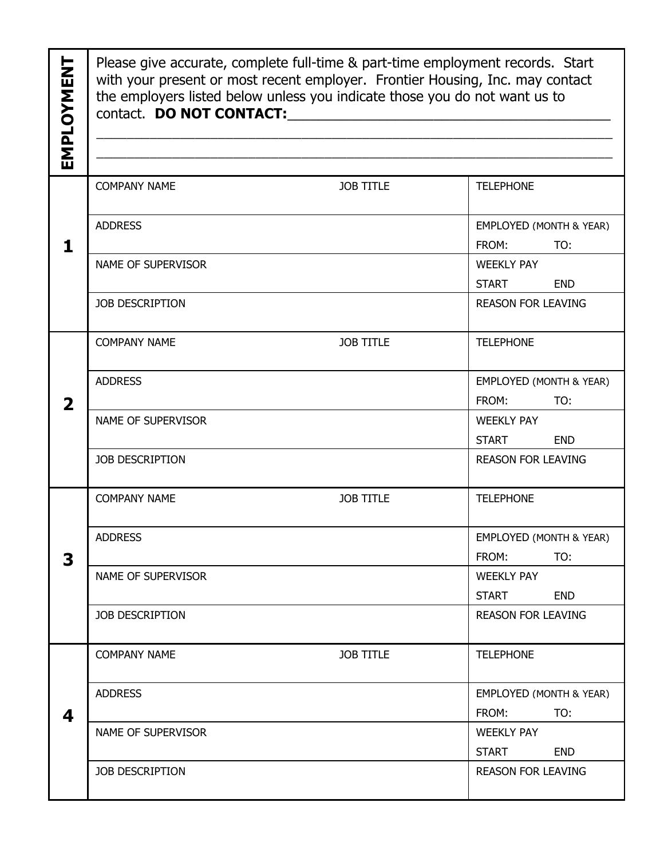| EMPLOYMENT              | Please give accurate, complete full-time & part-time employment records. Start<br>with your present or most recent employer. Frontier Housing, Inc. may contact<br>the employers listed below unless you indicate those you do not want us to |                  |                                                    |  |
|-------------------------|-----------------------------------------------------------------------------------------------------------------------------------------------------------------------------------------------------------------------------------------------|------------------|----------------------------------------------------|--|
| 1                       | <b>COMPANY NAME</b>                                                                                                                                                                                                                           | <b>JOB TITLE</b> | <b>TELEPHONE</b>                                   |  |
|                         | <b>ADDRESS</b>                                                                                                                                                                                                                                |                  | EMPLOYED (MONTH & YEAR)<br>FROM:<br>TO:            |  |
|                         | NAME OF SUPERVISOR                                                                                                                                                                                                                            |                  | <b>WEEKLY PAY</b><br><b>START</b><br><b>END</b>    |  |
|                         | JOB DESCRIPTION                                                                                                                                                                                                                               |                  | <b>REASON FOR LEAVING</b>                          |  |
| $\overline{\mathbf{2}}$ | <b>COMPANY NAME</b>                                                                                                                                                                                                                           | <b>JOB TITLE</b> | <b>TELEPHONE</b>                                   |  |
|                         | <b>ADDRESS</b>                                                                                                                                                                                                                                |                  | EMPLOYED (MONTH & YEAR)<br>FROM:<br>TO:            |  |
|                         | NAME OF SUPERVISOR                                                                                                                                                                                                                            |                  | <b>WEEKLY PAY</b><br><b>START</b><br><b>END</b>    |  |
|                         | JOB DESCRIPTION                                                                                                                                                                                                                               |                  | <b>REASON FOR LEAVING</b>                          |  |
| 3                       | <b>COMPANY NAME</b>                                                                                                                                                                                                                           | <b>JOB TITLE</b> | <b>TELEPHONE</b>                                   |  |
|                         | <b>ADDRESS</b>                                                                                                                                                                                                                                |                  | <b>EMPLOYED (MONTH &amp; YEAR)</b><br>FROM:<br>TO: |  |
|                         | NAME OF SUPERVISOR                                                                                                                                                                                                                            |                  | <b>WEEKLY PAY</b><br><b>START</b><br><b>END</b>    |  |
|                         | <b>JOB DESCRIPTION</b>                                                                                                                                                                                                                        |                  | <b>REASON FOR LEAVING</b>                          |  |
| 4                       | <b>COMPANY NAME</b>                                                                                                                                                                                                                           | <b>JOB TITLE</b> | <b>TELEPHONE</b>                                   |  |
|                         | <b>ADDRESS</b>                                                                                                                                                                                                                                |                  | EMPLOYED (MONTH & YEAR)<br>FROM:<br>TO:            |  |
|                         | NAME OF SUPERVISOR                                                                                                                                                                                                                            |                  | <b>WEEKLY PAY</b><br><b>START</b><br><b>END</b>    |  |
|                         | <b>JOB DESCRIPTION</b>                                                                                                                                                                                                                        |                  | <b>REASON FOR LEAVING</b>                          |  |